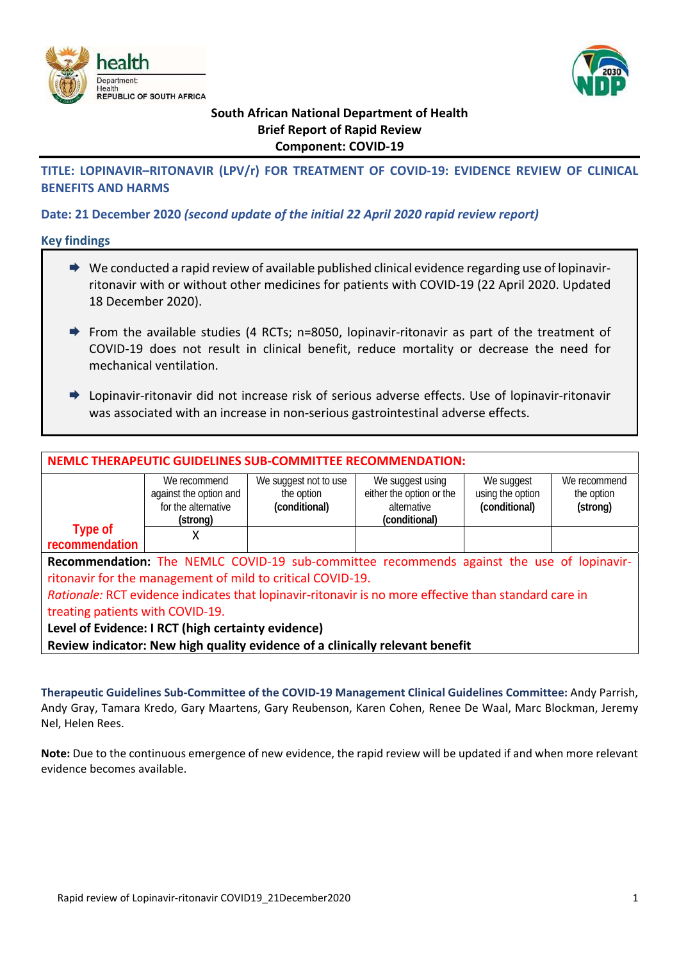



# **South African National Department of Health Brief Report of Rapid Review Component: COVID‐19**

# **TITLE: LOPINAVIR–RITONAVIR (LPV/r) FOR TREATMENT OF COVID‐19: EVIDENCE REVIEW OF CLINICAL BENEFITS AND HARMS**

# **Date: 21 December 2020** *(second update of the initial 22 April 2020 rapid review report)*

**Key findings** 

- $\rightarrow$  We conducted a rapid review of available published clinical evidence regarding use of lopinavirritonavir with or without other medicines for patients with COVID‐19 (22 April 2020. Updated 18 December 2020).
- From the available studies (4 RCTs; n=8050, lopinavir‐ritonavir as part of the treatment of COVID‐19 does not result in clinical benefit, reduce mortality or decrease the need for mechanical ventilation.
- Lopinavir‐ritonavir did not increase risk of serious adverse effects. Use of lopinavir‐ritonavir was associated with an increase in non-serious gastrointestinal adverse effects.

| <b>NEMLC THERAPEUTIC GUIDELINES SUB-COMMITTEE RECOMMENDATION:</b>                                     |                                                           |                                     |                                              |                                   |                        |
|-------------------------------------------------------------------------------------------------------|-----------------------------------------------------------|-------------------------------------|----------------------------------------------|-----------------------------------|------------------------|
|                                                                                                       | We recommend                                              | We suggest not to use<br>the option | We suggest using<br>either the option or the | We suggest                        | We recommend           |
|                                                                                                       | against the option and<br>for the alternative<br>(strong) | (conditional)                       | alternative<br>(conditional)                 | using the option<br>(conditional) | the option<br>(strong) |
| <b>Type of</b><br>recommendation                                                                      | x                                                         |                                     |                                              |                                   |                        |
| Recommendation: The NEMLC COVID-19 sub-committee recommends against the use of lopinavir-             |                                                           |                                     |                                              |                                   |                        |
| ritonavir for the management of mild to critical COVID-19.                                            |                                                           |                                     |                                              |                                   |                        |
| Rationale: RCT evidence indicates that lopinavir-ritonavir is no more effective than standard care in |                                                           |                                     |                                              |                                   |                        |
| treating patients with COVID-19.                                                                      |                                                           |                                     |                                              |                                   |                        |
| Level of Evidence: I RCT (high certainty evidence)                                                    |                                                           |                                     |                                              |                                   |                        |
| Review indicator: New high quality evidence of a clinically relevant benefit                          |                                                           |                                     |                                              |                                   |                        |

**Therapeutic Guidelines Sub‐Committee of the COVID‐19 Management Clinical Guidelines Committee:** Andy Parrish, Andy Gray, Tamara Kredo, Gary Maartens, Gary Reubenson, Karen Cohen, Renee De Waal, Marc Blockman, Jeremy Nel, Helen Rees.

**Note:** Due to the continuous emergence of new evidence, the rapid review will be updated if and when more relevant evidence becomes available.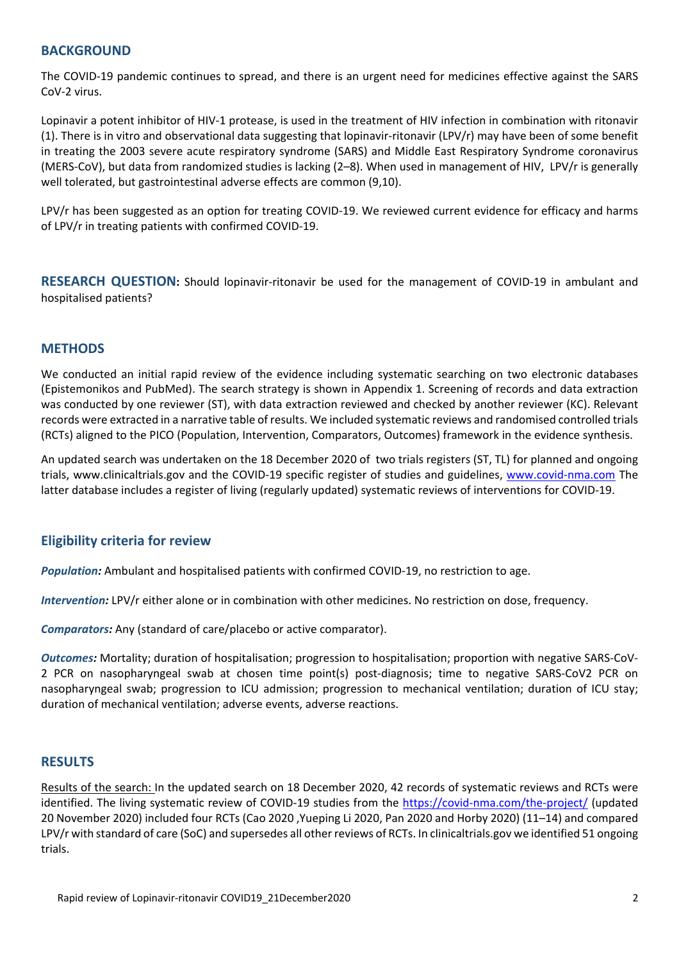### **BACKGROUND**

The COVID‐19 pandemic continues to spread, and there is an urgent need for medicines effective against the SARS CoV‐2 virus.

Lopinavir a potent inhibitor of HIV‐1 protease, is used in the treatment of HIV infection in combination with ritonavir (1). There is in vitro and observational data suggesting that lopinavir‐ritonavir (LPV/r) may have been of some benefit in treating the 2003 severe acute respiratory syndrome (SARS) and Middle East Respiratory Syndrome coronavirus (MERS‐CoV), but data from randomized studies is lacking (2–8). When used in management of HIV, LPV/r is generally well tolerated, but gastrointestinal adverse effects are common (9,10).

LPV/r has been suggested as an option for treating COVID‐19. We reviewed current evidence for efficacy and harms of LPV/r in treating patients with confirmed COVID‐19.

**RESEARCH QUESTION:**  Should lopinavir‐ritonavir be used for the management of COVID‐19 in ambulant and hospitalised patients?

### **METHODS**

We conducted an initial rapid review of the evidence including systematic searching on two electronic databases (Epistemonikos and PubMed). The search strategy is shown in Appendix 1. Screening of records and data extraction was conducted by one reviewer (ST), with data extraction reviewed and checked by another reviewer (KC). Relevant records were extracted in a narrative table of results. We included systematic reviews and randomised controlled trials (RCTs) aligned to the PICO (Population, Intervention, Comparators, Outcomes) framework in the evidence synthesis.

An updated search was undertaken on the 18 December 2020 of two trials registers (ST, TL) for planned and ongoing trials, www.clinicaltrials.gov and the COVID‐19 specific register of studies and guidelines, www.covid‐nma.com The latter database includes a register of living (regularly updated) systematic reviews of interventions for COVID‐19.

# **Eligibility criteria for review**

*Population:* Ambulant and hospitalised patients with confirmed COVID‐19, no restriction to age.

*Intervention:* LPV/r either alone or in combination with other medicines. No restriction on dose, frequency.

*Comparators:* Any (standard of care/placebo or active comparator).

*Outcomes:* Mortality; duration of hospitalisation; progression to hospitalisation; proportion with negative SARS‐CoV‐ 2 PCR on nasopharyngeal swab at chosen time point(s) post-diagnosis; time to negative SARS-CoV2 PCR on nasopharyngeal swab; progression to ICU admission; progression to mechanical ventilation; duration of ICU stay; duration of mechanical ventilation; adverse events, adverse reactions.

# **RESULTS**

Results of the search: In the updated search on 18 December 2020, 42 records of systematic reviews and RCTs were identified. The living systematic review of COVID‐19 studies from the https://covid‐nma.com/the‐project/ (updated 20 November 2020) included four RCTs (Cao 2020 ,Yueping Li 2020, Pan 2020 and Horby 2020) (11–14) and compared LPV/r with standard of care (SoC) and supersedes all other reviews of RCTs. In clinicaltrials.gov we identified 51 ongoing trials.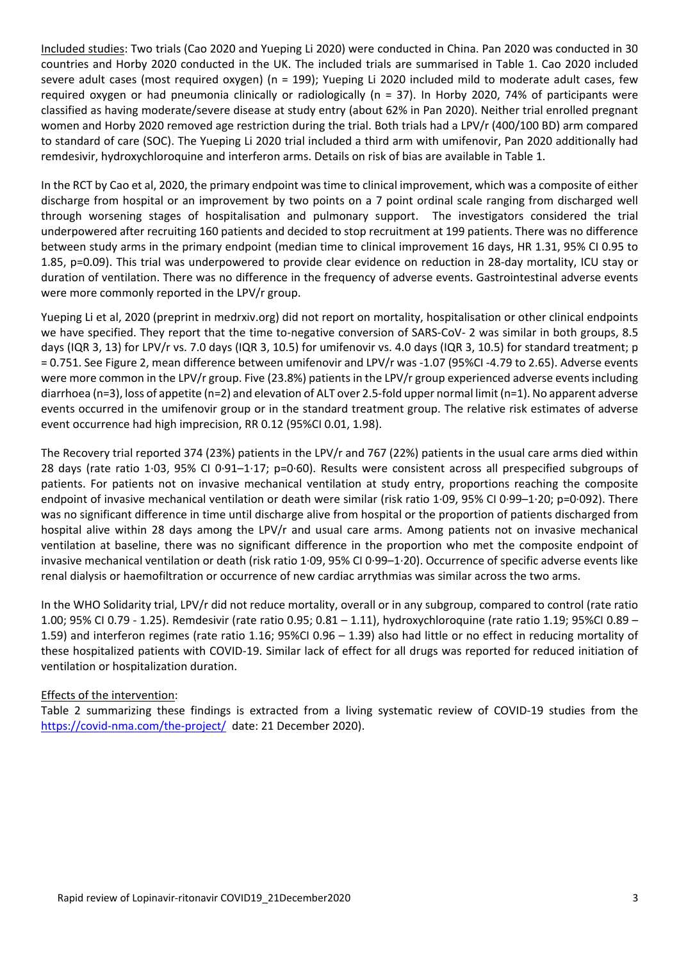Included studies: Two trials (Cao 2020 and Yueping Li 2020) were conducted in China. Pan 2020 was conducted in 30 countries and Horby 2020 conducted in the UK. The included trials are summarised in Table 1. Cao 2020 included severe adult cases (most required oxygen) (n = 199); Yueping Li 2020 included mild to moderate adult cases, few required oxygen or had pneumonia clinically or radiologically  $(n = 37)$ . In Horby 2020, 74% of participants were classified as having moderate/severe disease at study entry (about 62% in Pan 2020). Neither trial enrolled pregnant women and Horby 2020 removed age restriction during the trial. Both trials had a LPV/r (400/100 BD) arm compared to standard of care (SOC). The Yueping Li 2020 trial included a third arm with umifenovir, Pan 2020 additionally had remdesivir, hydroxychloroquine and interferon arms. Details on risk of bias are available in Table 1.

In the RCT by Cao et al, 2020, the primary endpoint was time to clinical improvement, which was a composite of either discharge from hospital or an improvement by two points on a 7 point ordinal scale ranging from discharged well through worsening stages of hospitalisation and pulmonary support. The investigators considered the trial underpowered after recruiting 160 patients and decided to stop recruitment at 199 patients. There was no difference between study arms in the primary endpoint (median time to clinical improvement 16 days, HR 1.31, 95% CI 0.95 to 1.85, p=0.09). This trial was underpowered to provide clear evidence on reduction in 28‐day mortality, ICU stay or duration of ventilation. There was no difference in the frequency of adverse events. Gastrointestinal adverse events were more commonly reported in the LPV/r group.

Yueping Li et al, 2020 (preprint in medrxiv.org) did not report on mortality, hospitalisation or other clinical endpoints we have specified. They report that the time to-negative conversion of SARS-CoV- 2 was similar in both groups, 8.5 days (IQR 3, 13) for LPV/r vs. 7.0 days (IQR 3, 10.5) for umifenovir vs. 4.0 days (IQR 3, 10.5) for standard treatment; p = 0.751. See Figure 2, mean difference between umifenovir and LPV/r was ‐1.07 (95%CI ‐4.79 to 2.65). Adverse events were more common in the LPV/r group. Five (23.8%) patients in the LPV/r group experienced adverse events including diarrhoea (n=3), loss of appetite (n=2) and elevation of ALT over 2.5‐fold upper normal limit (n=1). No apparent adverse events occurred in the umifenovir group or in the standard treatment group. The relative risk estimates of adverse event occurrence had high imprecision, RR 0.12 (95%CI 0.01, 1.98).

The Recovery trial reported 374 (23%) patients in the LPV/r and 767 (22%) patients in the usual care arms died within 28 days (rate ratio 1∙03, 95% CI 0∙91–1∙17; p=0∙60). Results were consistent across all prespecified subgroups of patients. For patients not on invasive mechanical ventilation at study entry, proportions reaching the composite endpoint of invasive mechanical ventilation or death were similar (risk ratio 1∙09, 95% CI 0∙99–1∙20; p=0∙092). There was no significant difference in time until discharge alive from hospital or the proportion of patients discharged from hospital alive within 28 days among the LPV/r and usual care arms. Among patients not on invasive mechanical ventilation at baseline, there was no significant difference in the proportion who met the composite endpoint of invasive mechanical ventilation or death (risk ratio 1∙09, 95% CI 0∙99–1∙20). Occurrence of specific adverse events like renal dialysis or haemofiltration or occurrence of new cardiac arrythmias was similar across the two arms.

In the WHO Solidarity trial, LPV/r did not reduce mortality, overall or in any subgroup, compared to control (rate ratio 1.00; 95% CI 0.79 ‐ 1.25). Remdesivir (rate ratio 0.95; 0.81 – 1.11), hydroxychloroquine (rate ratio 1.19; 95%CI 0.89 – 1.59) and interferon regimes (rate ratio 1.16; 95%CI 0.96 – 1.39) also had little or no effect in reducing mortality of these hospitalized patients with COVID‐19. Similar lack of effect for all drugs was reported for reduced initiation of ventilation or hospitalization duration.

# Effects of the intervention:

Table 2 summarizing these findings is extracted from a living systematic review of COVID-19 studies from the https://covid-nma.com/the-project/ date: 21 December 2020).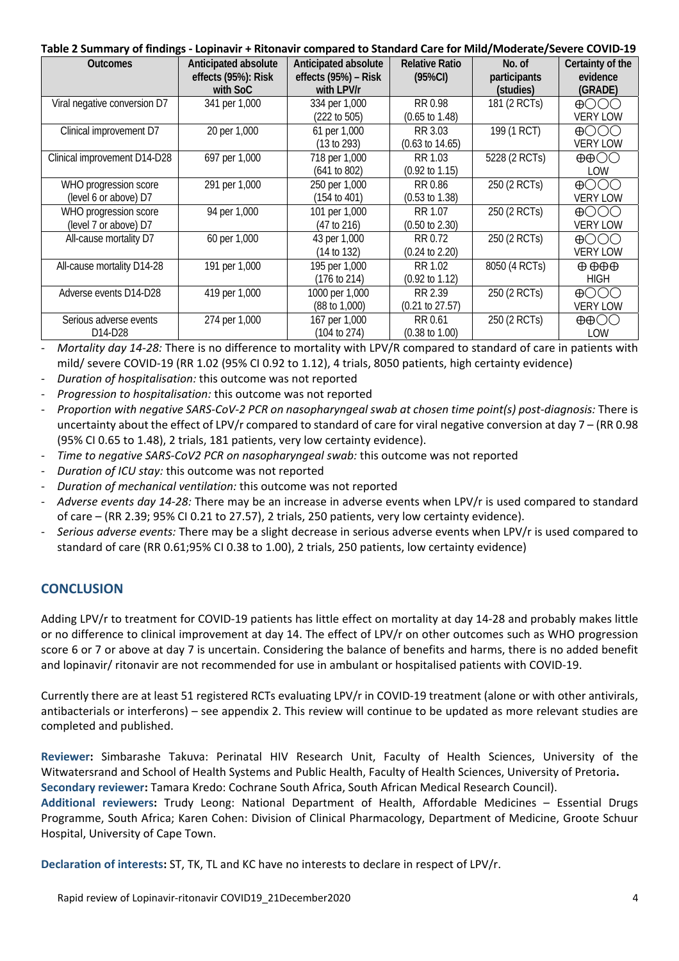#### **Table 2 Summary of findings ‐ Lopinavir + Ritonavir compared to Standard Care for Mild/Moderate/Severe COVID‐19**

| <b>Outcomes</b>                                | Anticipated absolute<br>effects (95%): Risk<br>with SoC | Anticipated absolute<br>effects (95%) - Risk<br>with LPV/r | <b>Relative Ratio</b><br>$(95\%CI)$   | No. of<br>participants<br>(studies) | Certainty of the<br>evidence<br>(GRADE)              |
|------------------------------------------------|---------------------------------------------------------|------------------------------------------------------------|---------------------------------------|-------------------------------------|------------------------------------------------------|
| Viral negative conversion D7                   | 341 per 1,000                                           | 334 per 1,000<br>(222 to 505)                              | RR 0.98<br>$(0.65 \text{ to } 1.48)$  | 181 (2 RCTs)                        | $\bigoplus$ $\bigodot$ $\bigodot$<br><b>VERY LOW</b> |
| Clinical improvement D7                        | 20 per 1,000                                            | 61 per 1,000<br>(13 to 293)                                | RR 3.03<br>$(0.63 \text{ to } 14.65)$ | 199 (1 RCT)                         | $\bigoplus$ ( ) ( ) ( )<br><b>VERY LOW</b>           |
| Clinical improvement D14-D28                   | 697 per 1,000                                           | 718 per 1,000<br>(641 to 802)                              | RR 1.03<br>$(0.92 \text{ to } 1.15)$  | 5228 (2 RCTs)                       | $\oplus$ $\oplus$ $\odot$<br>LOW                     |
| WHO progression score<br>(level 6 or above) D7 | 291 per 1,000                                           | 250 per 1,000<br>(154 to 401)                              | RR 0.86<br>$(0.53 \text{ to } 1.38)$  | 250 (2 RCTs)                        | $\bigoplus$ $\bigodot$ $\bigodot$<br><b>VERY LOW</b> |
| WHO progression score<br>(level 7 or above) D7 | 94 per 1,000                                            | 101 per 1,000<br>(47 to 216)                               | RR 1.07<br>$(0.50 \text{ to } 2.30)$  | 250 (2 RCTs)                        | $\bigoplus$ $\bigodot$ $\bigodot$<br><b>VERY LOW</b> |
| All-cause mortality D7                         | 60 per 1,000                                            | 43 per 1,000<br>(14 to 132)                                | RR 0.72<br>$(0.24 \text{ to } 2.20)$  | 250 (2 RCTs)                        | $\bigoplus$<br><b>VERY LOW</b>                       |
| All-cause mortality D14-28                     | 191 per 1,000                                           | 195 per 1,000<br>(176 to 214)                              | RR 1.02<br>$(0.92 \text{ to } 1.12)$  | 8050 (4 RCTs)                       | $\oplus$ $\oplus$ $\oplus$<br><b>HIGH</b>            |
| Adverse events D14-D28                         | 419 per 1,000                                           | 1000 per 1,000<br>$(88 \text{ to } 1,000)$                 | RR 2.39<br>$(0.21 \text{ to } 27.57)$ | 250 (2 RCTs)                        | $\bigoplus$ $\bigcirc$ $\bigcirc$<br><b>VERY LOW</b> |
| Serious adverse events<br>D14-D28              | 274 per 1,000                                           | 167 per 1,000<br>(104 to 274)                              | RR 0.61<br>$(0.38 \text{ to } 1.00)$  | 250 (2 RCTs)                        | $\oplus$ OO<br>LOW                                   |

‐ *Mortality day 14‐28:* There is no difference to mortality with LPV/R compared to standard of care in patients with mild/ severe COVID‐19 (RR 1.02 (95% CI 0.92 to 1.12), 4 trials, 8050 patients, high certainty evidence)

- ‐ *Duration of hospitalisation:* this outcome was not reported
- ‐ *Progression to hospitalisation:* this outcome was not reported
- ‐ *Proportion with negative SARS‐CoV‐2 PCR on nasopharyngeal swab at chosen time point(s) post‐diagnosis:* There is uncertainty about the effect of LPV/r compared to standard of care for viral negative conversion at day 7 – (RR 0.98 (95% CI 0.65 to 1.48), 2 trials, 181 patients, very low certainty evidence).
- ‐ *Time to negative SARS‐CoV2 PCR on nasopharyngeal swab:* this outcome was not reported
- ‐ *Duration of ICU stay:* this outcome was not reported
- ‐ *Duration of mechanical ventilation:* this outcome was not reported
- ‐ *Adverse events day 14‐28:* There may be an increase in adverse events when LPV/r is used compared to standard of care – (RR 2.39; 95% CI 0.21 to 27.57), 2 trials, 250 patients, very low certainty evidence).
- ‐ *Serious adverse events:* There may be a slight decrease in serious adverse events when LPV/r is used compared to standard of care (RR 0.61;95% CI 0.38 to 1.00), 2 trials, 250 patients, low certainty evidence)

# **CONCLUSION**

Adding LPV/r to treatment for COVID‐19 patients has little effect on mortality at day 14‐28 and probably makes little or no difference to clinical improvement at day 14. The effect of LPV/r on other outcomes such as WHO progression score 6 or 7 or above at day 7 is uncertain. Considering the balance of benefits and harms, there is no added benefit and lopinavir/ ritonavir are not recommended for use in ambulant or hospitalised patients with COVID‐19.

Currently there are at least 51 registered RCTs evaluating LPV/r in COVID‐19 treatment (alone or with other antivirals, antibacterials or interferons) – see appendix 2. This review will continue to be updated as more relevant studies are completed and published.

**Reviewer:**  Simbarashe Takuva: Perinatal HIV Research Unit, Faculty of Health Sciences, University of the Witwatersrand and School of Health Systems and Public Health, Faculty of Health Sciences, University of Pretoria**.** 

**Secondary reviewer:** Tamara Kredo: Cochrane South Africa, South African Medical Research Council).

**Additional reviewers:**  Trudy Leong: National Department of Health, Affordable Medicines – Essential Drugs Programme, South Africa; Karen Cohen: Division of Clinical Pharmacology, Department of Medicine, Groote Schuur Hospital, University of Cape Town.

**Declaration of interests:** ST, TK, TL and KC have no interests to declare in respect of LPV/r.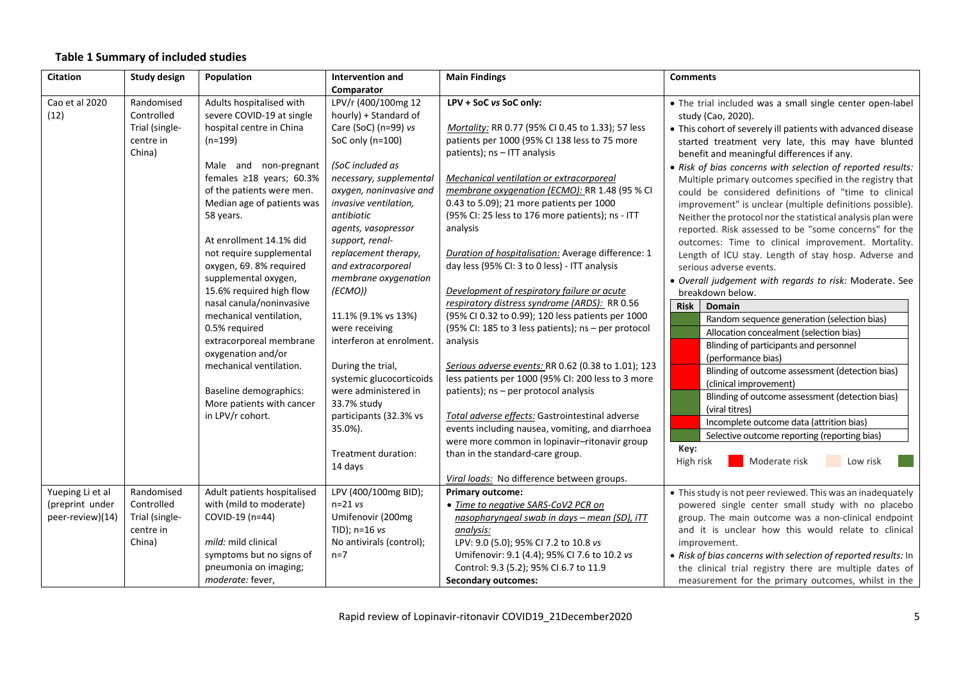### **Table 1 Summary of included studies**

| <b>Citation</b>  | Study design   | Population                                          | Intervention and                      | <b>Main Findings</b>                                | <b>Comments</b>                                                |
|------------------|----------------|-----------------------------------------------------|---------------------------------------|-----------------------------------------------------|----------------------------------------------------------------|
|                  |                |                                                     | Comparator                            |                                                     |                                                                |
| Cao et al 2020   | Randomised     | Adults hospitalised with                            | LPV/r (400/100mg 12                   | LPV + SoC vs SoC only:                              | . The trial included was a small single center open-label      |
| (12)             | Controlled     | severe COVID-19 at single                           | hourly) + Standard of                 |                                                     | study (Cao, 2020).                                             |
|                  | Trial (single- | hospital centre in China                            | Care (SoC) ( $n=99$ ) vs              | Mortality: RR 0.77 (95% CI 0.45 to 1.33); 57 less   | • This cohort of severely ill patients with advanced disease   |
|                  | centre in      | $(n=199)$                                           | SoC only $(n=100)$                    | patients per 1000 (95% CI 138 less to 75 more       | started treatment very late, this may have blunted             |
|                  | China)         |                                                     |                                       | patients); ns - ITT analysis                        | benefit and meaningful differences if any.                     |
|                  |                | Male and non-pregnant                               | (SoC included as                      |                                                     | . Risk of bias concerns with selection of reported results:    |
|                  |                | females ≥18 years; 60.3%                            | necessary, supplemental               | Mechanical ventilation or extracorporeal            | Multiple primary outcomes specified in the registry that       |
|                  |                | of the patients were men.                           | oxygen, noninvasive and               | membrane oxygenation (ECMO): RR 1.48 (95 % CI       | could be considered definitions of "time to clinical           |
|                  |                | Median age of patients was                          | invasive ventilation,                 | 0.43 to 5.09); 21 more patients per 1000            | improvement" is unclear (multiple definitions possible).       |
|                  |                | 58 years.                                           | antibiotic                            | (95% CI: 25 less to 176 more patients); ns - ITT    | Neither the protocol nor the statistical analysis plan were    |
|                  |                |                                                     | agents, vasopressor                   | analysis                                            | reported. Risk assessed to be "some concerns" for the          |
|                  |                | At enrollment 14.1% did                             | support, renal-                       |                                                     | outcomes: Time to clinical improvement. Mortality.             |
|                  |                | not require supplemental                            | replacement therapy,                  | Duration of hospitalisation: Average difference: 1  | Length of ICU stay. Length of stay hosp. Adverse and           |
|                  |                | oxygen, 69.8% required                              | and extracorporeal                    | day less (95% CI: 3 to 0 less) - ITT analysis       | serious adverse events.                                        |
|                  |                | supplemental oxygen,                                | membrane oxygenation                  |                                                     | · Overall judgement with regards to risk: Moderate. See        |
|                  |                | 15.6% required high flow                            | (ECMO))                               | Development of respiratory failure or acute         | breakdown below.                                               |
|                  |                | nasal canula/noninvasive                            |                                       | respiratory distress syndrome (ARDS): RR 0.56       | <b>Risk</b><br><b>Domain</b>                                   |
|                  |                | mechanical ventilation,                             | 11.1% (9.1% vs 13%)                   | (95% CI 0.32 to 0.99); 120 less patients per 1000   | Random sequence generation (selection bias)                    |
|                  |                | 0.5% required                                       | were receiving                        | (95% CI: 185 to 3 less patients); ns - per protocol | Allocation concealment (selection bias)                        |
|                  |                | extracorporeal membrane                             | interferon at enrolment.              | analysis                                            | Blinding of participants and personnel                         |
|                  |                | oxygenation and/or                                  |                                       |                                                     | (performance bias)                                             |
|                  |                | mechanical ventilation.                             | During the trial,                     | Serious adverse events: RR 0.62 (0.38 to 1.01); 123 | Blinding of outcome assessment (detection bias)                |
|                  |                |                                                     | systemic glucocorticoids              | less patients per 1000 (95% CI: 200 less to 3 more  | (clinical improvement)                                         |
|                  |                | Baseline demographics:<br>More patients with cancer | were administered in                  | patients); ns - per protocol analysis               | Blinding of outcome assessment (detection bias)                |
|                  |                | in LPV/r cohort.                                    | 33.7% study<br>participants (32.3% vs | Total adverse effects: Gastrointestinal adverse     | (viral titres)                                                 |
|                  |                |                                                     | 35.0%).                               | events including nausea, vomiting, and diarrhoea    | Incomplete outcome data (attrition bias)                       |
|                  |                |                                                     |                                       | were more common in lopinavir-ritonavir group       | Selective outcome reporting (reporting bias)                   |
|                  |                |                                                     | Treatment duration:                   | than in the standard-care group.                    | Key:                                                           |
|                  |                |                                                     | 14 days                               |                                                     | High risk<br>Moderate risk<br>Low risk                         |
|                  |                |                                                     |                                       | Viral loads: No difference between groups.          |                                                                |
| Yueping Li et al | Randomised     | Adult patients hospitalised                         | LPV (400/100mg BID);                  | <b>Primary outcome:</b>                             | • This study is not peer reviewed. This was an inadequately    |
| (preprint under  | Controlled     | with (mild to moderate)                             | $n=21$ vs                             | . Time to negative SARS-CoV2 PCR on                 | powered single center small study with no placebo              |
| peer-review)(14) | Trial (single- | COVID-19 (n=44)                                     | Umifenovir (200mg                     | nasopharyngeal swab in days - mean (SD), iTT        | group. The main outcome was a non-clinical endpoint            |
|                  | centre in      |                                                     | TID); $n=16$ vs                       | analysis:                                           | and it is unclear how this would relate to clinical            |
|                  | China)         | mild: mild clinical                                 | No antivirals (control);              | LPV: 9.0 (5.0); 95% CI 7.2 to 10.8 vs               | improvement.                                                   |
|                  |                | symptoms but no signs of                            | $n=7$                                 | Umifenovir: 9.1 (4.4); 95% CI 7.6 to 10.2 vs        | • Risk of bias concerns with selection of reported results: In |
|                  |                | pneumonia on imaging;                               |                                       | Control: 9.3 (5.2); 95% CI 6.7 to 11.9              | the clinical trial registry there are multiple dates of        |
|                  |                | moderate: fever,                                    |                                       | <b>Secondary outcomes:</b>                          | measurement for the primary outcomes, whilst in the            |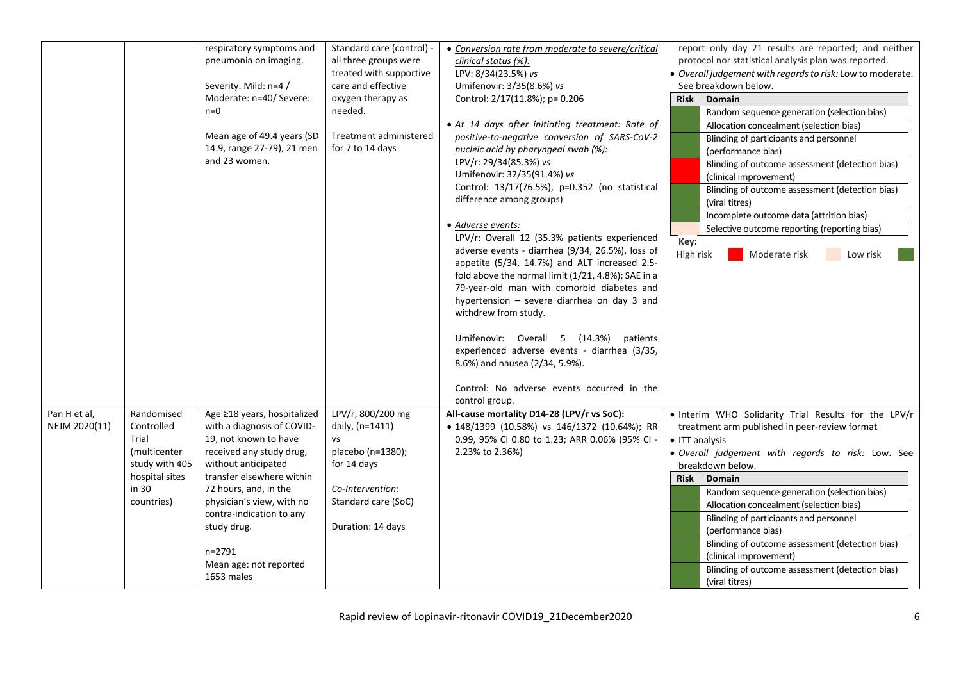|               |                | respiratory symptoms and    | Standard care (control) - | • Conversion rate from moderate to severe/critical | report only day 21 results are reported; and neither       |
|---------------|----------------|-----------------------------|---------------------------|----------------------------------------------------|------------------------------------------------------------|
|               |                | pneumonia on imaging.       | all three groups were     | clinical status (%):                               | protocol nor statistical analysis plan was reported.       |
|               |                |                             | treated with supportive   | LPV: 8/34(23.5%) vs                                | . Overall judgement with regards to risk: Low to moderate. |
|               |                | Severity: Mild: n=4 /       | care and effective        | Umifenovir: 3/35(8.6%) vs                          | See breakdown below.                                       |
|               |                | Moderate: n=40/ Severe:     | oxygen therapy as         | Control: 2/17(11.8%); p= 0.206                     | <b>Domain</b><br><b>Risk</b>                               |
|               |                | $n=0$                       | needed.                   |                                                    | Random sequence generation (selection bias)                |
|               |                |                             |                           | • At 14 days after initiating treatment: Rate of   | Allocation concealment (selection bias)                    |
|               |                | Mean age of 49.4 years (SD  | Treatment administered    | positive-to-negative conversion of SARS-CoV-2      | Blinding of participants and personnel                     |
|               |                | 14.9, range 27-79), 21 men  | for 7 to 14 days          | nucleic acid by pharyngeal swab (%):               | (performance bias)                                         |
|               |                | and 23 women.               |                           | LPV/r: 29/34(85.3%) vs                             | Blinding of outcome assessment (detection bias)            |
|               |                |                             |                           | Umifenovir: 32/35(91.4%) vs                        | (clinical improvement)                                     |
|               |                |                             |                           | Control: 13/17(76.5%), p=0.352 (no statistical     | Blinding of outcome assessment (detection bias)            |
|               |                |                             |                           | difference among groups)                           | (viral titres)                                             |
|               |                |                             |                           |                                                    | Incomplete outcome data (attrition bias)                   |
|               |                |                             |                           | • Adverse events:                                  | Selective outcome reporting (reporting bias)               |
|               |                |                             |                           | LPV/r: Overall 12 (35.3% patients experienced      | Key:                                                       |
|               |                |                             |                           | adverse events - diarrhea (9/34, 26.5%), loss of   | High risk<br>Moderate risk<br>Low risk                     |
|               |                |                             |                           | appetite (5/34, 14.7%) and ALT increased 2.5-      |                                                            |
|               |                |                             |                           | fold above the normal limit (1/21, 4.8%); SAE in a |                                                            |
|               |                |                             |                           | 79-year-old man with comorbid diabetes and         |                                                            |
|               |                |                             |                           | hypertension - severe diarrhea on day 3 and        |                                                            |
|               |                |                             |                           | withdrew from study.                               |                                                            |
|               |                |                             |                           |                                                    |                                                            |
|               |                |                             |                           | Umifenovir: Overall 5 (14.3%) patients             |                                                            |
|               |                |                             |                           | experienced adverse events - diarrhea (3/35,       |                                                            |
|               |                |                             |                           | 8.6%) and nausea (2/34, 5.9%).                     |                                                            |
|               |                |                             |                           |                                                    |                                                            |
|               |                |                             |                           | Control: No adverse events occurred in the         |                                                            |
|               |                |                             |                           | control group.                                     |                                                            |
| Pan H et al,  | Randomised     | Age ≥18 years, hospitalized | LPV/r, 800/200 mg         | All-cause mortality D14-28 (LPV/r vs SoC):         | . Interim WHO Solidarity Trial Results for the LPV/r       |
| NEJM 2020(11) | Controlled     | with a diagnosis of COVID-  | daily, (n=1411)           | • 148/1399 (10.58%) vs 146/1372 (10.64%); RR       | treatment arm published in peer-review format              |
|               | Trial          | 19, not known to have       | <b>VS</b>                 | 0.99, 95% CI 0.80 to 1.23; ARR 0.06% (95% CI -     | • ITT analysis                                             |
|               | (multicenter   | received any study drug,    | placebo (n=1380);         | 2.23% to 2.36%)                                    | · Overall judgement with regards to risk: Low. See         |
|               | study with 405 | without anticipated         | for 14 days               |                                                    | breakdown below.                                           |
|               | hospital sites | transfer elsewhere within   |                           |                                                    | Risk  <br><b>Domain</b>                                    |
|               | in 30          | 72 hours, and, in the       | Co-Intervention:          |                                                    | Random sequence generation (selection bias)                |
|               | countries)     | physician's view, with no   | Standard care (SoC)       |                                                    | Allocation concealment (selection bias)                    |
|               |                | contra-indication to any    |                           |                                                    | Blinding of participants and personnel                     |
|               |                | study drug.                 | Duration: 14 days         |                                                    | (performance bias)                                         |
|               |                |                             |                           |                                                    | Blinding of outcome assessment (detection bias)            |
|               |                | n=2791                      |                           |                                                    | (clinical improvement)                                     |
|               |                | Mean age: not reported      |                           |                                                    | Blinding of outcome assessment (detection bias)            |
|               |                | 1653 males                  |                           |                                                    | (viral titres)                                             |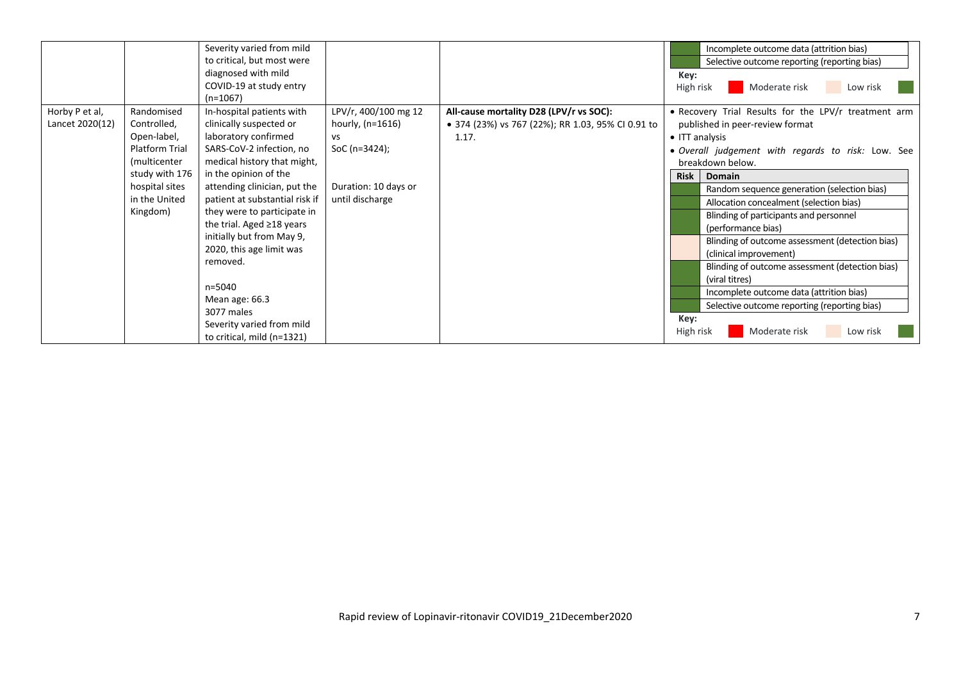|                 |                | Severity varied from mild      |                      |                                                   |             | Incomplete outcome data (attrition bias)             |
|-----------------|----------------|--------------------------------|----------------------|---------------------------------------------------|-------------|------------------------------------------------------|
|                 |                | to critical, but most were     |                      |                                                   |             | Selective outcome reporting (reporting bias)         |
|                 |                | diagnosed with mild            |                      |                                                   | Key:        |                                                      |
|                 |                | COVID-19 at study entry        |                      |                                                   |             | Moderate risk<br>High risk<br>Low risk               |
|                 |                | (n=1067)                       |                      |                                                   |             |                                                      |
| Horby P et al,  | Randomised     | In-hospital patients with      | LPV/r, 400/100 mg 12 | All-cause mortality D28 (LPV/r vs SOC):           |             | • Recovery Trial Results for the LPV/r treatment arm |
| Lancet 2020(12) | Controlled,    | clinically suspected or        | hourly, $(n=1616)$   | • 374 (23%) vs 767 (22%); RR 1.03, 95% CI 0.91 to |             | published in peer-review format                      |
|                 | Open-label,    | laboratory confirmed           | VS                   | 1.17.                                             |             | • ITT analysis                                       |
|                 | Platform Trial | SARS-CoV-2 infection, no       | SoC (n=3424);        |                                                   |             | . Overall judgement with regards to risk: Low. See   |
|                 | (multicenter   | medical history that might,    |                      |                                                   |             | breakdown below.                                     |
|                 | study with 176 | in the opinion of the          |                      |                                                   | <b>Risk</b> | Domain                                               |
|                 | hospital sites | attending clinician, put the   | Duration: 10 days or |                                                   |             | Random sequence generation (selection bias)          |
|                 | in the United  | patient at substantial risk if | until discharge      |                                                   |             | Allocation concealment (selection bias)              |
|                 | Kingdom)       | they were to participate in    |                      |                                                   |             | Blinding of participants and personnel               |
|                 |                | the trial. Aged ≥18 years      |                      |                                                   |             | (performance bias)                                   |
|                 |                | initially but from May 9,      |                      |                                                   |             | Blinding of outcome assessment (detection bias)      |
|                 |                | 2020, this age limit was       |                      |                                                   |             | (clinical improvement)                               |
|                 |                | removed.                       |                      |                                                   |             | Blinding of outcome assessment (detection bias)      |
|                 |                |                                |                      |                                                   |             | (viral titres)                                       |
|                 |                | n=5040                         |                      |                                                   |             | Incomplete outcome data (attrition bias)             |
|                 |                | Mean age: 66.3                 |                      |                                                   |             | Selective outcome reporting (reporting bias)         |
|                 |                | 3077 males                     |                      |                                                   | Key:        |                                                      |
|                 |                | Severity varied from mild      |                      |                                                   |             | Moderate risk<br>High risk<br>Low risk               |
|                 |                | to critical, mild (n=1321)     |                      |                                                   |             |                                                      |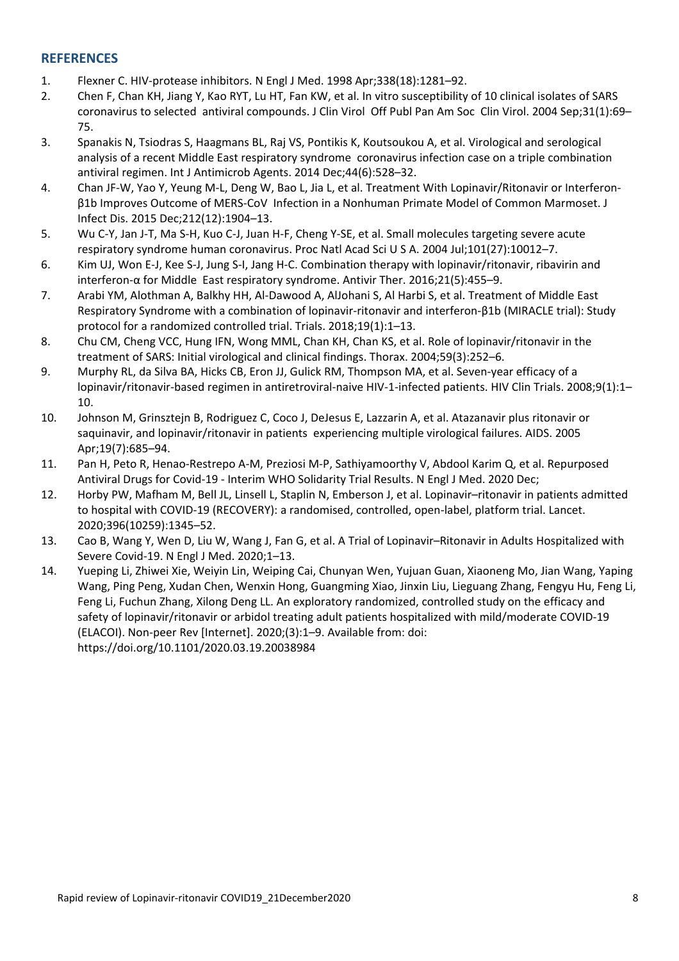# **REFERENCES**

- 1. Flexner C. HIV‐protease inhibitors. N Engl J Med. 1998 Apr;338(18):1281–92.
- 2. Chen F, Chan KH, Jiang Y, Kao RYT, Lu HT, Fan KW, et al. In vitro susceptibility of 10 clinical isolates of SARS coronavirus to selected antiviral compounds. J Clin Virol Off Publ Pan Am Soc Clin Virol. 2004 Sep;31(1):69– 75.
- 3. Spanakis N, Tsiodras S, Haagmans BL, Raj VS, Pontikis K, Koutsoukou A, et al. Virological and serological analysis of a recent Middle East respiratory syndrome coronavirus infection case on a triple combination antiviral regimen. Int J Antimicrob Agents. 2014 Dec;44(6):528–32.
- 4. Chan JF‐W, Yao Y, Yeung M‐L, Deng W, Bao L, Jia L, et al. Treatment With Lopinavir/Ritonavir or Interferon‐ β1b Improves Outcome of MERS‐CoV Infection in a Nonhuman Primate Model of Common Marmoset. J Infect Dis. 2015 Dec;212(12):1904–13.
- 5. Wu C‐Y, Jan J‐T, Ma S‐H, Kuo C‐J, Juan H‐F, Cheng Y‐SE, et al. Small molecules targeting severe acute respiratory syndrome human coronavirus. Proc Natl Acad Sci U S A. 2004 Jul;101(27):10012–7.
- 6. Kim UJ, Won E‐J, Kee S‐J, Jung S‐I, Jang H‐C. Combination therapy with lopinavir/ritonavir, ribavirin and interferon‐α for Middle East respiratory syndrome. Antivir Ther. 2016;21(5):455–9.
- 7. Arabi YM, Alothman A, Balkhy HH, Al‐Dawood A, AlJohani S, Al Harbi S, et al. Treatment of Middle East Respiratory Syndrome with a combination of lopinavir‐ritonavir and interferon‐β1b (MIRACLE trial): Study protocol for a randomized controlled trial. Trials. 2018;19(1):1–13.
- 8. Chu CM, Cheng VCC, Hung IFN, Wong MML, Chan KH, Chan KS, et al. Role of lopinavir/ritonavir in the treatment of SARS: Initial virological and clinical findings. Thorax. 2004;59(3):252–6.
- 9. Murphy RL, da Silva BA, Hicks CB, Eron JJ, Gulick RM, Thompson MA, et al. Seven-year efficacy of a lopinavir/ritonavir-based regimen in antiretroviral-naive HIV-1-infected patients. HIV Clin Trials. 2008;9(1):1-10.
- 10. Johnson M, Grinsztejn B, Rodriguez C, Coco J, DeJesus E, Lazzarin A, et al. Atazanavir plus ritonavir or saquinavir, and lopinavir/ritonavir in patients experiencing multiple virological failures. AIDS. 2005 Apr;19(7):685–94.
- 11. Pan H, Peto R, Henao‐Restrepo A‐M, Preziosi M‐P, Sathiyamoorthy V, Abdool Karim Q, et al. Repurposed Antiviral Drugs for Covid‐19 ‐ Interim WHO Solidarity Trial Results. N Engl J Med. 2020 Dec;
- 12. Horby PW, Mafham M, Bell JL, Linsell L, Staplin N, Emberson J, et al. Lopinavir–ritonavir in patients admitted to hospital with COVID‐19 (RECOVERY): a randomised, controlled, open‐label, platform trial. Lancet. 2020;396(10259):1345–52.
- 13. Cao B, Wang Y, Wen D, Liu W, Wang J, Fan G, et al. A Trial of Lopinavir–Ritonavir in Adults Hospitalized with Severe Covid‐19. N Engl J Med. 2020;1–13.
- 14. Yueping Li, Zhiwei Xie, Weiyin Lin, Weiping Cai, Chunyan Wen, Yujuan Guan, Xiaoneng Mo, Jian Wang, Yaping Wang, Ping Peng, Xudan Chen, Wenxin Hong, Guangming Xiao, Jinxin Liu, Lieguang Zhang, Fengyu Hu, Feng Li, Feng Li, Fuchun Zhang, Xilong Deng LL. An exploratory randomized, controlled study on the efficacy and safety of lopinavir/ritonavir or arbidol treating adult patients hospitalized with mild/moderate COVID-19 (ELACOI). Non‐peer Rev [Internet]. 2020;(3):1–9. Available from: doi: https://doi.org/10.1101/2020.03.19.20038984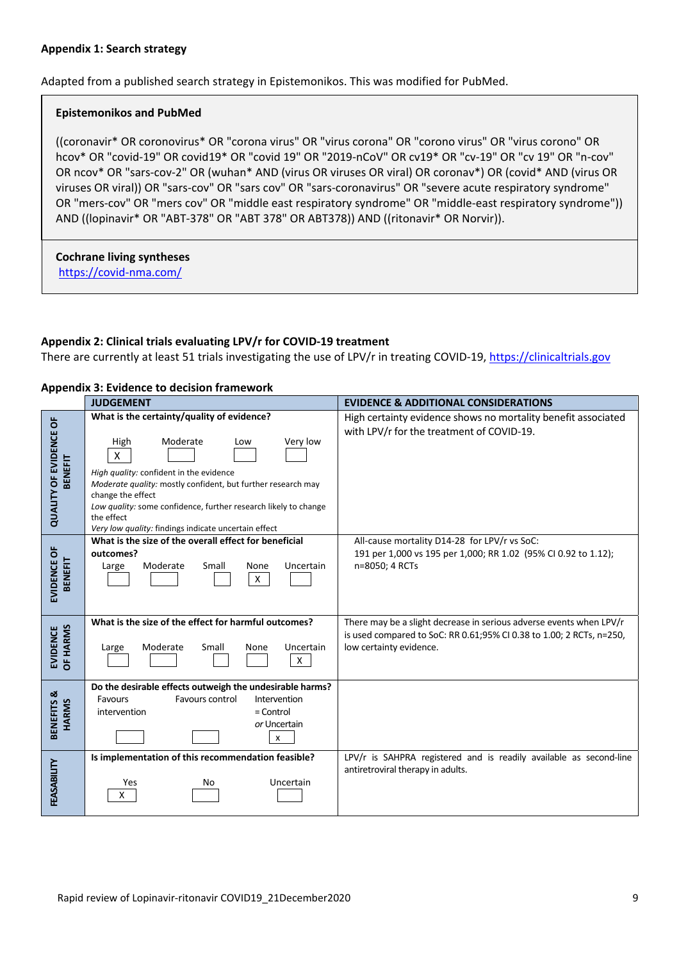#### **Appendix 1: Search strategy**

Adapted from a published search strategy in Epistemonikos. This was modified for PubMed.

#### **Epistemonikos and PubMed**

((coronavir\* OR coronovirus\* OR "corona virus" OR "virus corona" OR "corono virus" OR "virus corono" OR hcov\* OR "covid‐19" OR covid19\* OR "covid 19" OR "2019‐nCoV" OR cv19\* OR "cv‐19" OR "cv 19" OR "n‐cov" OR ncov\* OR "sars‐cov‐2" OR (wuhan\* AND (virus OR viruses OR viral) OR coronav\*) OR (covid\* AND (virus OR viruses OR viral)) OR "sars‐cov" OR "sars cov" OR "sars‐coronavirus" OR "severe acute respiratory syndrome" OR "mers-cov" OR "mers cov" OR "middle east respiratory syndrome" OR "middle-east respiratory syndrome")) AND ((lopinavir\* OR "ABT‐378" OR "ABT 378" OR ABT378)) AND ((ritonavir\* OR Norvir)).

**Cochrane living syntheses**  https://covid‐nma.com/

#### **Appendix 2: Clinical trials evaluating LPV/r for COVID‐19 treatment**

There are currently at least 51 trials investigating the use of LPV/r in treating COVID-19, https://clinicaltrials.gov

|                                          | <b>Appendix 3: Evidence to decision framework</b>                                                                                                                                                                                                                                                                                                               |                                                                                                                                                                        |
|------------------------------------------|-----------------------------------------------------------------------------------------------------------------------------------------------------------------------------------------------------------------------------------------------------------------------------------------------------------------------------------------------------------------|------------------------------------------------------------------------------------------------------------------------------------------------------------------------|
|                                          | <b>JUDGEMENT</b>                                                                                                                                                                                                                                                                                                                                                | <b>EVIDENCE &amp; ADDITIONAL CONSIDERATIONS</b>                                                                                                                        |
| <b>QUALITY OF EVIDENCE OF</b><br>BENEFIT | What is the certainty/quality of evidence?<br>Very low<br>High<br>Moderate<br>Low<br>X<br>High quality: confident in the evidence<br>Moderate quality: mostly confident, but further research may<br>change the effect<br>Low quality: some confidence, further research likely to change<br>the effect<br>Very low quality: findings indicate uncertain effect | High certainty evidence shows no mortality benefit associated<br>with LPV/r for the treatment of COVID-19.                                                             |
| EVIDENCE OF<br><b>BENEFIT</b>            | What is the size of the overall effect for beneficial<br>outcomes?<br>Moderate<br>Small<br>Uncertain<br>None<br>Large<br>X                                                                                                                                                                                                                                      | All-cause mortality D14-28 for LPV/r vs SoC:<br>191 per 1,000 vs 195 per 1,000; RR 1.02 (95% CI 0.92 to 1.12);<br>n=8050; 4 RCTs                                       |
| OF HARMS<br><b>EVIDENCE</b>              | What is the size of the effect for harmful outcomes?<br>Moderate<br>Small<br>Uncertain<br>Large<br>None<br>X                                                                                                                                                                                                                                                    | There may be a slight decrease in serious adverse events when LPV/r<br>is used compared to SoC: RR 0.61;95% CI 0.38 to 1.00; 2 RCTs, n=250,<br>low certainty evidence. |
| BENEFITS &<br><b>HARMS</b>               | Do the desirable effects outweigh the undesirable harms?<br>Favours control<br>Intervention<br>Favours<br>$=$ Control<br>intervention<br>or Uncertain<br>$\pmb{\chi}$                                                                                                                                                                                           |                                                                                                                                                                        |
| FEASABILITY                              | Is implementation of this recommendation feasible?<br>Yes<br>Uncertain<br>No<br>X                                                                                                                                                                                                                                                                               | LPV/r is SAHPRA registered and is readily available as second-line<br>antiretroviral therapy in adults.                                                                |